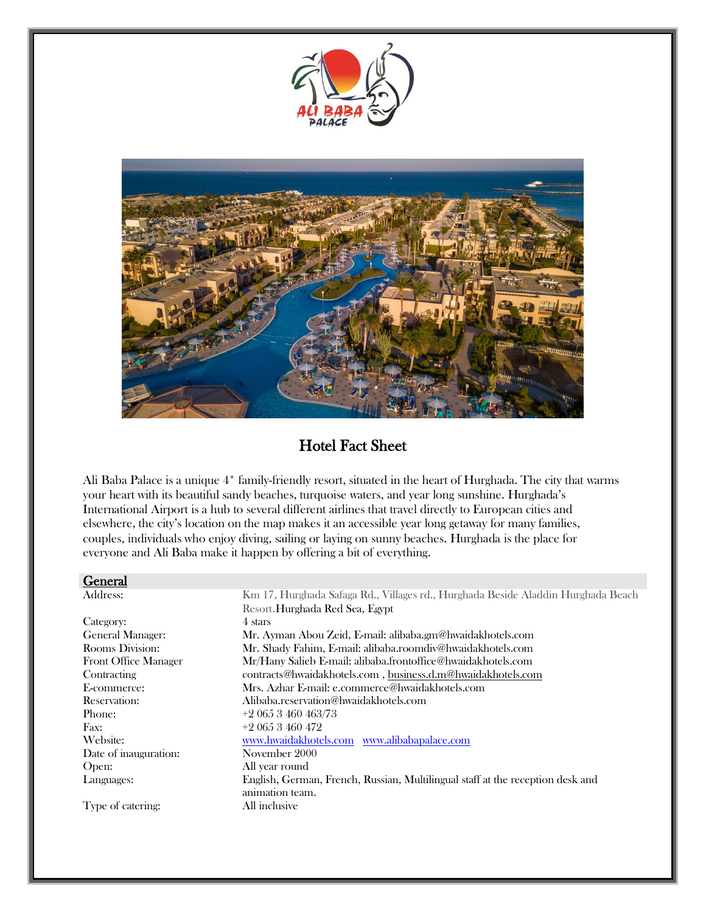



# Hotel Fact Sheet

Ali Baba Palace is a unique 4\* family-friendly resort, situated in the heart of Hurghada. The city that warms your heart with its beautiful sandy beaches, turquoise waters, and year long sunshine. Hurghada's International Airport is a hub to several different airlines that travel directly to European cities and elsewhere, the city's location on the map makes it an accessible year long getaway for many families, couples, individuals who enjoy diving, sailing or laying on sunny beaches. Hurghada is the place for everyone and Ali Baba make it happen by offering a bit of everything.

#### General

Category: General Manager: Rooms Division: Front Office Manager **Contracting** E-commerce: Reservation: Phone: Fax:  $+20653460472$ Date of inauguration: November 2000 Open: All year round

Address: Km 17, Hurghada Safaga Rd., Villages rd., Hurghada Beside Aladdin Hurghada Beach Resort.Hurghada Red Sea, Egypt 4 stars Mr. Ayman Abou Zeid, E-mail: alibaba.gm@hwaidakhotels.com Mr. Shady Fahim, E-mail: alibaba.roomdiv@hwaidakhotels.com Mr/Hany Salieb E-mail: alibaba.frontoffice@hwaidakhotels.com contracts@hwaidakhotels.com , business.d.m@hwaidakhotels.com Mrs. Azhar E-mail: e.commerce@hwaidakhotels.com Alibaba.reservation@hwaidakhotels.com +2 065 3 460 463/73 Website: www.hwaidakhotels.com www.alibabapalace.com Languages: English, German, French, Russian, Multilingual staff at the reception desk and animation team. Type of catering: All inclusive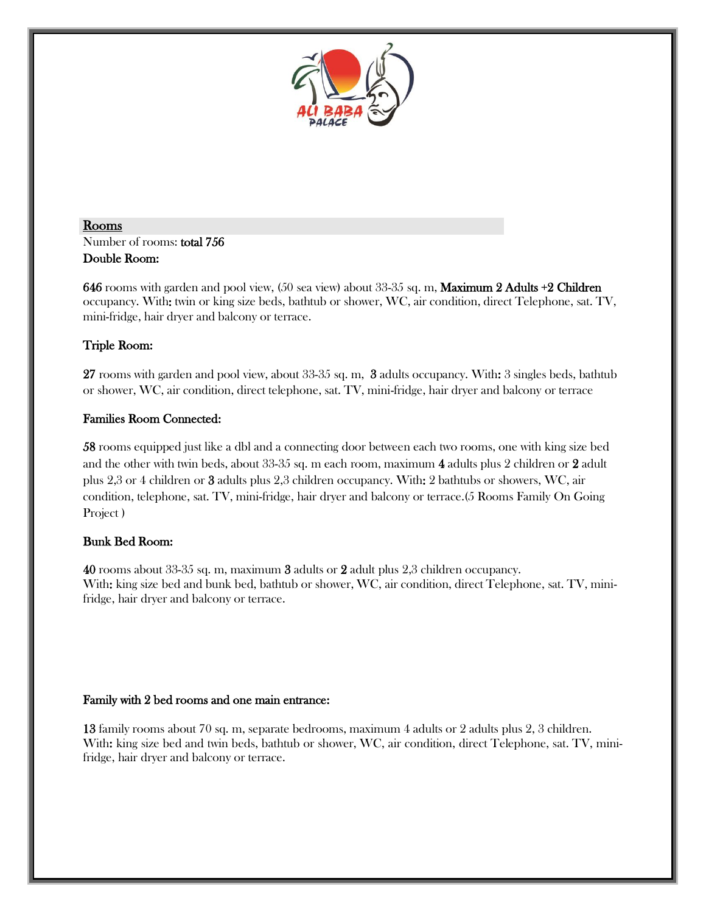

### Rooms Number of rooms: total 756 Double Room:

646 rooms with garden and pool view, (50 sea view) about 33-35 sq. m, Maximum 2 Adults +2 Children occupancy. With: twin or king size beds, bathtub or shower, WC, air condition, direct Telephone, sat. TV, mini-fridge, hair dryer and balcony or terrace.

# Triple Room:

27 rooms with garden and pool view, about 33-35 sq. m, 3 adults occupancy. With: 3 singles beds, bathtub or shower, WC, air condition, direct telephone, sat. TV, mini-fridge, hair dryer and balcony or terrace

# Families Room Connected:

58 rooms equipped just like a dbl and a connecting door between each two rooms, one with king size bed and the other with twin beds, about 33-35 sq. m each room, maximum 4 adults plus 2 children or 2 adult plus 2,3 or 4 children or 3 adults plus 2,3 children occupancy. With: 2 bathtubs or showers, WC, air condition, telephone, sat. TV, mini-fridge, hair dryer and balcony or terrace.(5 Rooms Family On Going Project )

# Bunk Bed Room:

40 rooms about 33-35 sq. m, maximum 3 adults or 2 adult plus 2,3 children occupancy. With: king size bed and bunk bed, bathtub or shower, WC, air condition, direct Telephone, sat. TV, minifridge, hair dryer and balcony or terrace.

### Family with 2 bed rooms and one main entrance:

13 family rooms about 70 sq. m, separate bedrooms, maximum 4 adults or 2 adults plus 2, 3 children. With: king size bed and twin beds, bathtub or shower, WC, air condition, direct Telephone, sat. TV, minifridge, hair dryer and balcony or terrace.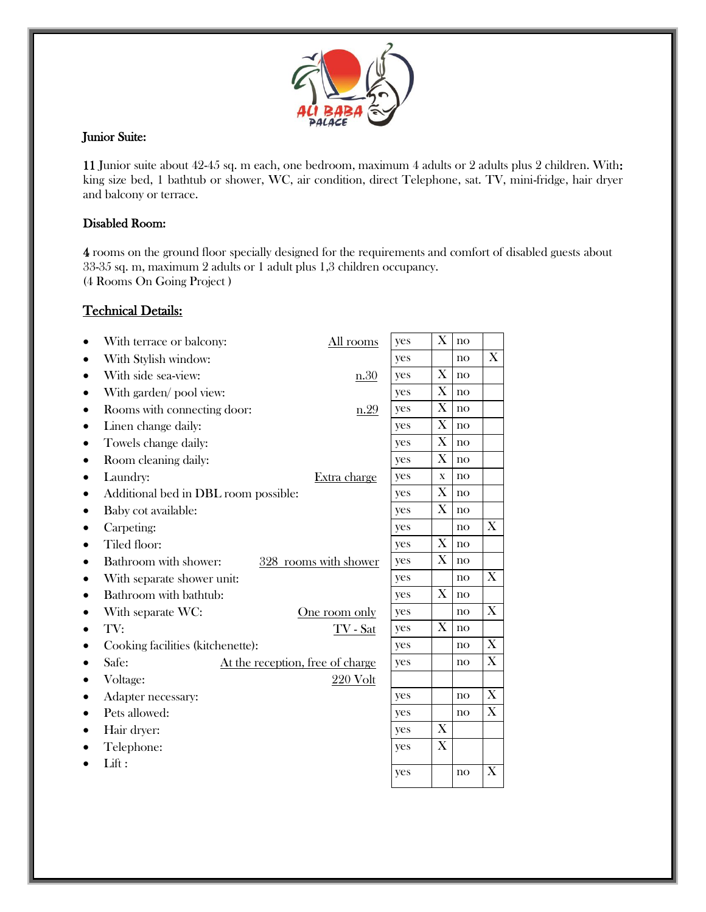

### Junior Suite:

11 Junior suite about 42-45 sq. m each, one bedroom, maximum 4 adults or 2 adults plus 2 children. With: king size bed, 1 bathtub or shower, WC, air condition, direct Telephone, sat. TV, mini-fridge, hair dryer and balcony or terrace.

### Disabled Room:

4 rooms on the ground floor specially designed for the requirements and comfort of disabled guests about 33-35 sq. m, maximum 2 adults or 1 adult plus 1,3 children occupancy. (4 Rooms On Going Project )

## Technical Details:

Lifts in

| With terrace or balcony:                 | All rooms                        | yes | X                         | $\mathbf{no}$   |                           |
|------------------------------------------|----------------------------------|-----|---------------------------|-----------------|---------------------------|
| With Stylish window:                     |                                  | yes |                           | $\mathbf{no}$   | $\boldsymbol{\mathrm{X}}$ |
| With side sea-view:                      | n.30                             | yes | $\boldsymbol{\mathrm{X}}$ | $\overline{no}$ |                           |
| With garden/ pool view:                  |                                  | yes | $\boldsymbol{\mathrm{X}}$ | no              |                           |
| Rooms with connecting door:<br>$\bullet$ | n.29                             | yes | X                         | $\overline{no}$ |                           |
| Linen change daily:                      |                                  | yes | X                         | $\overline{no}$ |                           |
| Towels change daily:                     |                                  | yes | X                         | $\mathbf{no}$   |                           |
| Room cleaning daily:                     |                                  | yes | $\boldsymbol{\mathrm{X}}$ | $\mathbf{no}$   |                           |
| Laundry:                                 | Extra charge                     | yes | $\mathbf X$               | $\overline{no}$ |                           |
| Additional bed in DBL room possible:     |                                  | yes | X                         | $\overline{no}$ |                           |
| Baby cot available:                      |                                  | yes | X                         | $\overline{no}$ |                           |
| Carpeting:                               |                                  | yes |                           | $\mathbf{no}$   | $\boldsymbol{\mathrm{X}}$ |
| Tiled floor:                             |                                  | yes | $\boldsymbol{\mathrm{X}}$ | $\mathbf{no}$   |                           |
| Bathroom with shower:                    | 328 rooms with shower            | yes | $\boldsymbol{\mathrm{X}}$ | no              |                           |
| With separate shower unit:               |                                  | yes |                           | no              | X                         |
| Bathroom with bathtub:                   |                                  |     |                           |                 |                           |
| With separate WC:                        | One room only                    | yes |                           | no              | X                         |
| TV:                                      | $TV$ - Sat                       | yes | $\boldsymbol{\mathrm{X}}$ | $\mathbf{no}$   |                           |
| Cooking facilities (kitchenette):        | yes                              |     | $\mathbf{no}$             | X               |                           |
| Safe:                                    | At the reception, free of charge | yes |                           | $\mathbf{no}$   | $\boldsymbol{\mathrm{X}}$ |
| Voltage:                                 | $220$ Volt                       |     |                           |                 |                           |
| Adapter necessary:                       |                                  | yes |                           | $\overline{no}$ | X                         |
| Pets allowed:                            |                                  | yes |                           | $\mathbf{no}$   | $\boldsymbol{\mathrm{X}}$ |
| Hair dryer:                              |                                  | yes | $\boldsymbol{\mathrm{X}}$ |                 |                           |
| Telephone:                               |                                  | yes | X                         |                 |                           |
| Lift:                                    |                                  |     |                           |                 |                           |
|                                          |                                  | yes |                           | $\mathbf{no}$   | X                         |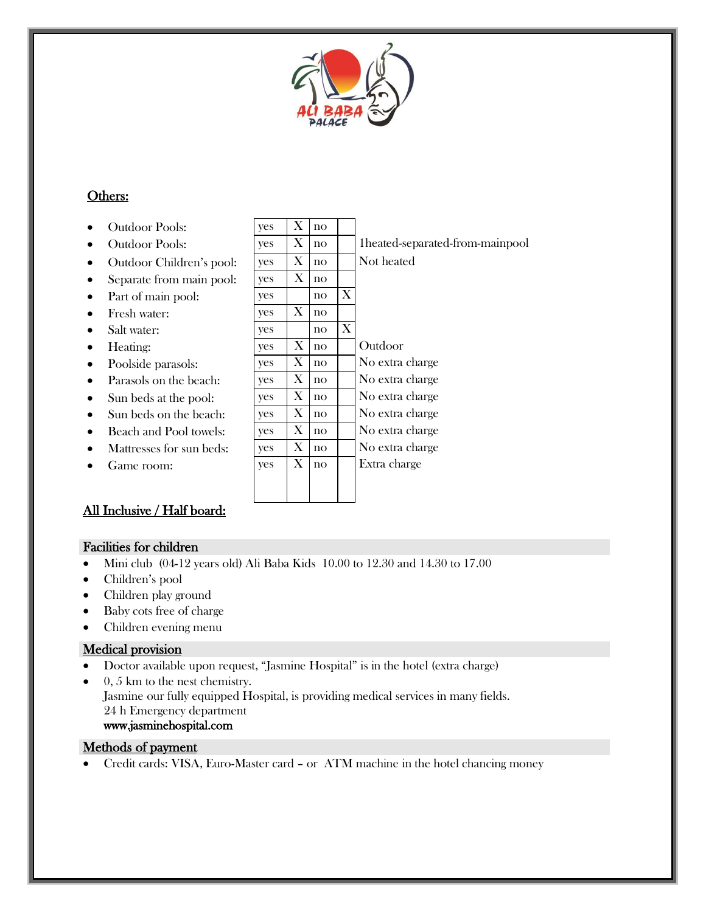

# Others:

- Outdoor Pools:
- 
- $\bullet$  Outdoor Children's pool:
- Separate from main pool:
- Part of main pool:
- $\bullet$  Fresh water:
- Salt water:
- Heating:
- Poolside parasols:
- Parasols on the beach:
- $\bullet$  Sun beds at the pool:
- $\bullet$  Sun beds on the beach:
- $\bullet$  Beach and Pool towels:
- $\bullet$  Mattresses for sun beds:
- Game room:

# All Inclusive / Half board:

## Facilities for children

- Mini club (04-12 years old) Ali Baba Kids 10.00 to 12.30 and 14.30 to 17.00
- Children's pool
- Children play ground
- Baby cots free of charge
- Children evening menu

# Medical provision

- Doctor available upon request, "Jasmine Hospital" is in the hotel (extra charge)
- $\bullet$  0, 5 km to the nest chemistry. Jasmine our fully equipped Hospital, is providing medical services in many fields. 24 h Emergency department www.jasminehospital.com

## Methods of payment

Credit cards: VISA, Euro-Master card – or ATM machine in the hotel chancing money

| <b>Outdoor Pools:</b>    | yes        | X | no            |   |                                 |
|--------------------------|------------|---|---------------|---|---------------------------------|
| Outdoor Pools:           | yes        | X | $\mathbf{no}$ |   | 1heated-separated-from-mainpool |
| Outdoor Children's pool: | yes        | X | no            |   | Not heated                      |
| Separate from main pool: | yes        | X | no            |   |                                 |
| Part of main pool:       | yes        |   | no            | Χ |                                 |
| Fresh water:             | yes        | X | no            |   |                                 |
| Salt water:              | ves        |   | $\mathbf{no}$ | X |                                 |
| Heating:                 | yes        | X | $\mathbf{no}$ |   | Outdoor                         |
| Poolside parasols:       | <b>ves</b> | X | $\mathbf{no}$ |   | No extra charge                 |
| Parasols on the beach:   | yes        | X | no            |   | No extra charge                 |
| Sun beds at the pool:    | yes        | X | $\mathbf{no}$ |   | No extra charge                 |
| Sun beds on the beach:   | <b>ves</b> | X | no            |   | No extra charge                 |
| Beach and Pool towels:   | <b>ves</b> | X | no            |   | No extra charge                 |
| Mattresses for sun beds: | <b>ves</b> | X | $\mathbf{no}$ |   | No extra charge                 |
| Game room:               | yes        | X | no            |   | Extra charge                    |
|                          |            |   |               |   |                                 |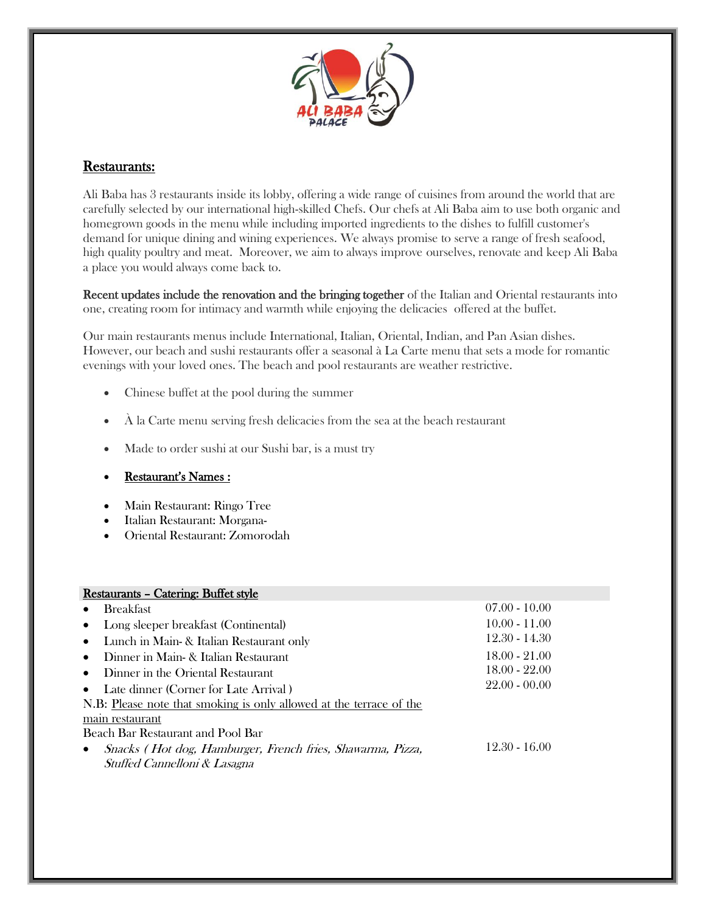

# Restaurants:

Ali Baba has 3 restaurants inside its lobby, offering a wide range of cuisines from around the world that are carefully selected by our international high-skilled Chefs. Our chefs at Ali Baba aim to use both organic and homegrown goods in the menu while including imported ingredients to the dishes to fulfill customer's demand for unique dining and wining experiences. We always promise to serve a range of fresh seafood, high quality poultry and meat. Moreover, we aim to always improve ourselves, renovate and keep Ali Baba a place you would always come back to.

Recent updates include the renovation and the bringing together of the Italian and Oriental restaurants into one, creating room for intimacy and warmth while enjoying the delicacies offered at the buffet.

Our main restaurants menus include International, Italian, Oriental, Indian, and Pan Asian dishes. However, our beach and sushi restaurants offer a seasonal à La Carte menu that sets a mode for romantic evenings with your loved ones. The beach and pool restaurants are weather restrictive.

- Chinese buffet at the pool during the summer
- $\overrightarrow{A}$  la Carte menu serving fresh delicacies from the sea at the beach restaurant
- Made to order sushi at our Sushi bar, is a must try
- Restaurant's Names :
- Main Restaurant: Ringo Tree
- Italian Restaurant: Morgana-
- Oriental Restaurant: Zomorodah

| <b>Restaurants - Catering: Buffet style</b>                         |                 |  |  |  |
|---------------------------------------------------------------------|-----------------|--|--|--|
| <b>Breakfast</b>                                                    | $07.00 - 10.00$ |  |  |  |
| Long sleeper breakfast (Continental)<br>$\bullet$                   | $10.00 - 11.00$ |  |  |  |
| • Lunch in Main- & Italian Restaurant only                          | $12.30 - 14.30$ |  |  |  |
| Dinner in Main- & Italian Restaurant<br>$\bullet$                   | $18.00 - 21.00$ |  |  |  |
| Dinner in the Oriental Restaurant<br>$\bullet$                      | $18.00 - 22.00$ |  |  |  |
| • Late dinner (Corner for Late Arrival)                             | $22.00 - 00.00$ |  |  |  |
| N.B: Please note that smoking is only allowed at the terrace of the |                 |  |  |  |
| main restaurant                                                     |                 |  |  |  |
| Beach Bar Restaurant and Pool Bar                                   |                 |  |  |  |
| Snacks (Hot dog, Hamburger, French fries, Shawarma, Pizza,          | $12.30 - 16.00$ |  |  |  |
| Stuffed Cannelloni & Lasagna                                        |                 |  |  |  |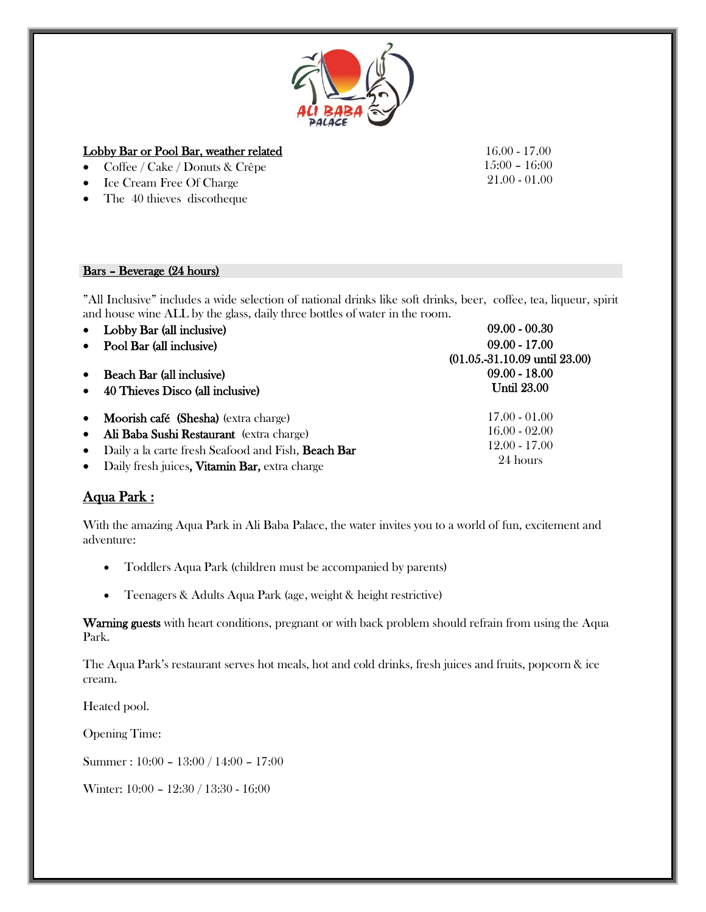

#### Lobby Bar or Pool Bar, weather related

- Coffee / Cake / Donuts & Crêpe
- Ice Cream Free Of Charge
- The 40 thieves discotheque

#### Bars – Beverage (24 hours)

"All Inclusive" includes a wide selection of national drinks like soft drinks, beer, coffee, tea, liqueur, spirit and house wine ALL by the glass, daily three bottles of water in the room.

| $\bullet$ | Lobby Bar (all inclusive)                          | $09.00 - 00.30$                          |
|-----------|----------------------------------------------------|------------------------------------------|
| $\bullet$ | Pool Bar (all inclusive)                           | $09.00 - 17.00$                          |
|           |                                                    | $(01.05,-31.10.09 \text{ until } 23.00)$ |
| $\bullet$ | <b>Beach Bar (all inclusive)</b>                   | $09.00 - 18.00$                          |
| $\bullet$ | 40 Thieves Disco (all inclusive)                   | <b>Until 23.00</b>                       |
| $\bullet$ | Moorish café (Shesha) (extra charge)               | $17.00 - 01.00$                          |
| $\bullet$ | Ali Baba Sushi Restaurant (extra charge)           | $16.00 - 02.00$                          |
| $\bullet$ | Daily a la carte fresh Seafood and Fish, Beach Bar | $12.00 - 17.00$                          |
|           | • Daily fresh juices, Vitamin Bar, extra charge    | 24 hours                                 |

# Aqua Park :

With the amazing Aqua Park in Ali Baba Palace, the water invites you to a world of fun, excitement and adventure:

- Toddlers Aqua Park (children must be accompanied by parents)
- Teenagers & Adults Aqua Park (age, weight & height restrictive)

Warning guests with heart conditions, pregnant or with back problem should refrain from using the Aqua Park.

The Aqua Park's restaurant serves hot meals, hot and cold drinks, fresh juices and fruits, popcorn & ice cream.

Heated pool.

Opening Time:

Summer : 10:00 – 13:00 / 14:00 – 17:00

Winter: 10:00 – 12:30 / 13:30 - 16:00

16.00 - 17.00 15:00 – 16:00 21.00 - 01.00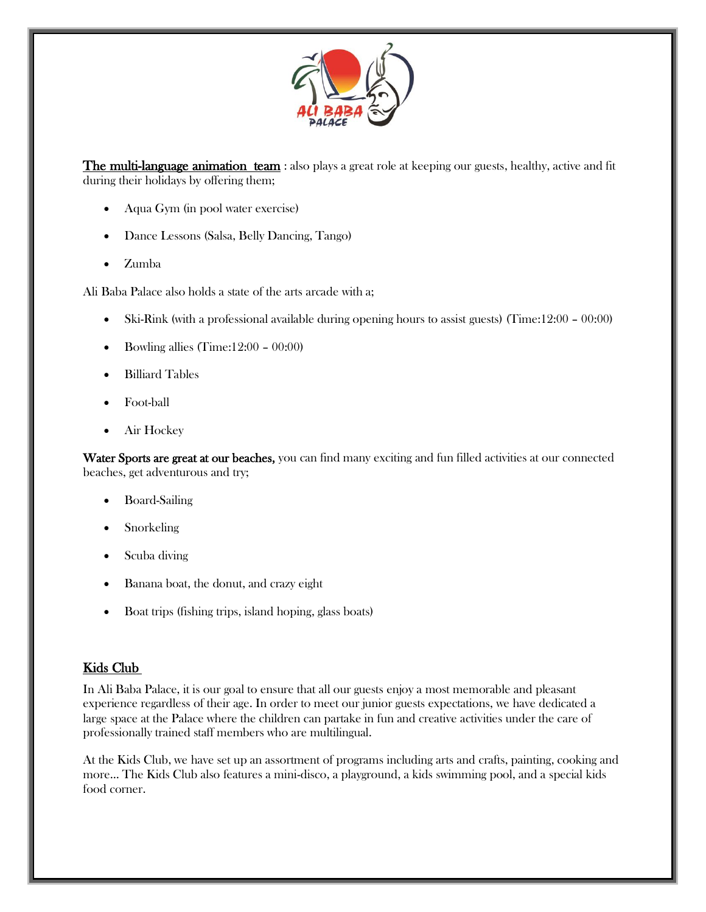

**The multi-language animation team**: also plays a great role at keeping our guests, healthy, active and fit during their holidays by offering them;

- Aqua Gym (in pool water exercise)
- Dance Lessons (Salsa, Belly Dancing, Tango)
- Zumba

Ali Baba Palace also holds a state of the arts arcade with a;

- Ski-Rink (with a professional available during opening hours to assist guests) (Time:12:00 00:00)
- Bowling allies (Time: $12:00 00:00$ )
- Billiard Tables
- Foot-ball
- Air Hockey

Water Sports are great at our beaches, you can find many exciting and fun filled activities at our connected beaches, get adventurous and try;

- Board-Sailing
- Snorkeling
- Scuba diving
- Banana boat, the donut, and crazy eight
- Boat trips (fishing trips, island hoping, glass boats)

# Kids Club

In Ali Baba Palace, it is our goal to ensure that all our guests enjoy a most memorable and pleasant experience regardless of their age. In order to meet our junior guests expectations, we have dedicated a large space at the Palace where the children can partake in fun and creative activities under the care of professionally trained staff members who are multilingual.

At the Kids Club, we have set up an assortment of programs including arts and crafts, painting, cooking and more... The Kids Club also features a mini-disco, a playground, a kids swimming pool, and a special kids food corner.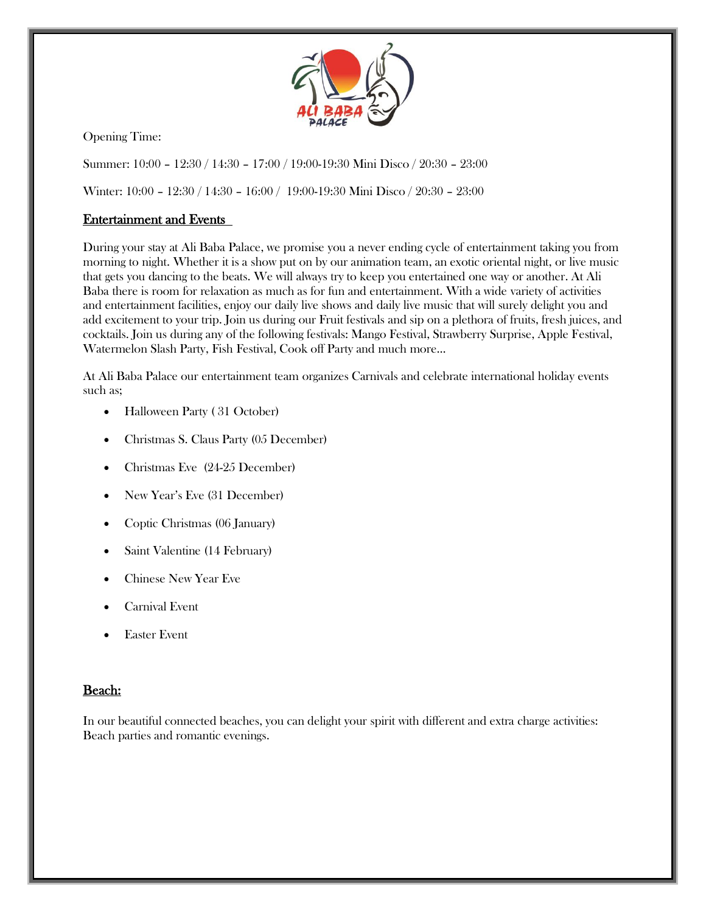

Opening Time:

Summer: 10:00 – 12:30 / 14:30 – 17:00 / 19:00-19:30 Mini Disco / 20:30 – 23:00

Winter: 10:00 – 12:30 / 14:30 – 16:00 / 19:00-19:30 Mini Disco / 20:30 – 23:00

# Entertainment and Events

During your stay at Ali Baba Palace, we promise you a never ending cycle of entertainment taking you from morning to night. Whether it is a show put on by our animation team, an exotic oriental night, or live music that gets you dancing to the beats. We will always try to keep you entertained one way or another. At Ali Baba there is room for relaxation as much as for fun and entertainment. With a wide variety of activities and entertainment facilities, enjoy our daily live shows and daily live music that will surely delight you and add excitement to your trip. Join us during our Fruit festivals and sip on a plethora of fruits, fresh juices, and cocktails. Join us during any of the following festivals: Mango Festival, Strawberry Surprise, Apple Festival, Watermelon Slash Party, Fish Festival, Cook off Party and much more...

At Ali Baba Palace our entertainment team organizes Carnivals and celebrate international holiday events such as;

- Halloween Party (31 October)
- Christmas S. Claus Party (05 December)
- Christmas Eve (24-25 December)
- New Year's Eve (31 December)
- Coptic Christmas (06 January)
- Saint Valentine (14 February)
- Chinese New Year Eve
- Carnival Event
- Easter Event

# Beach:

In our beautiful connected beaches, you can delight your spirit with different and extra charge activities: Beach parties and romantic evenings.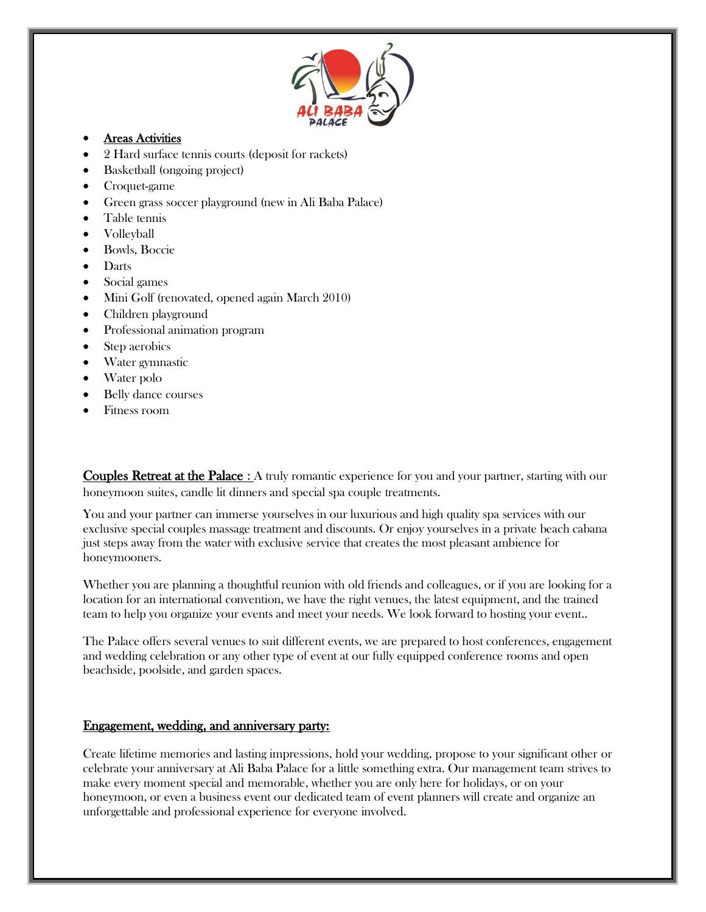

#### Areas Activities

- 2 Hard surface tennis courts (deposit for rackets)
- Basketball (ongoing project)
- Croquet-game
- Green grass soccer playground (new in Ali Baba Palace)
- Table tennis
- Volleyball
- Bowls, Boccie
- Darts
- Social games
- Mini Golf (renovated, opened again March 2010)
- Children playground
- Professional animation program
- Step aerobics
- Water gymnastic
- Water polo
- Belly dance courses
- Fitness room

Couples Retreat at the Palace : A truly romantic experience for you and your partner, starting with our honeymoon suites, candle lit dinners and special spa couple treatments.

You and your partner can immerse yourselves in our luxurious and high quality spa services with our exclusive special couples massage treatment and discounts. Or enjoy yourselves in a private beach cabana just steps away from the water with exclusive service that creates the most pleasant ambience for honeymooners.

Whether you are planning a thoughtful reunion with old friends and colleagues, or if you are looking for a location for an international convention, we have the right venues, the latest equipment, and the trained team to help you organize your events and meet your needs. We look forward to hosting your event..

The Palace offers several venues to suit different events, we are prepared to host conferences, engagement and wedding celebration or any other type of event at our fully equipped conference rooms and open beachside, poolside, and garden spaces.

#### Engagement, wedding, and anniversary party:

Create lifetime memories and lasting impressions, hold your wedding, propose to your significant other or celebrate your anniversary at Ali Baba Palace for a little something extra. Our management team strives to make every moment special and memorable, whether you are only here for holidays, or on your honeymoon, or even a business event our dedicated team of event planners will create and organize an unforgettable and professional experience for everyone involved.